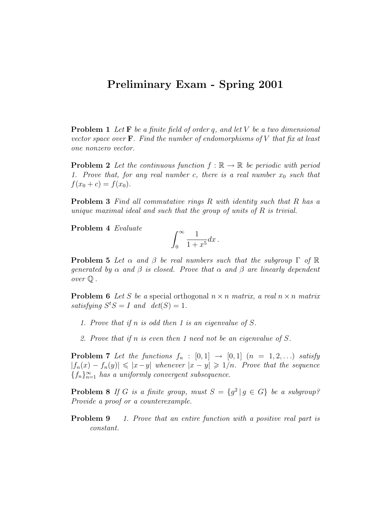## Preliminary Exam - Spring 2001

**Problem 1** Let  $\mathbf{F}$  be a finite field of order q, and let V be a two dimensional vector space over  $\mathbf{F}$ . Find the number of endomorphisms of V that fix at least one nonzero vector.

**Problem 2** Let the continuous function  $f : \mathbb{R} \to \mathbb{R}$  be periodic with period 1. Prove that, for any real number c, there is a real number  $x_0$  such that  $f(x_0 + c) = f(x_0).$ 

**Problem 3** Find all commutative rings R with identity such that R has a unique maximal ideal and such that the group of units of  $R$  is trivial.

Problem 4 Evaluate

$$
\int_0^\infty \frac{1}{1+x^5} dx \, .
$$

**Problem 5** Let  $\alpha$  and  $\beta$  be real numbers such that the subgroup  $\Gamma$  of  $\mathbb{R}$ generated by  $\alpha$  and  $\beta$  is closed. Prove that  $\alpha$  and  $\beta$  are linearly dependent over Q .

**Problem 6** Let S be a special orthogonal  $n \times n$  matrix, a real  $n \times n$  matrix satisfying  $S^tS = I$  and  $det(S) = 1$ .

- 1. Prove that if n is odd then 1 is an eigenvalue of S.
- 2. Prove that if n is even then 1 need not be an eigenvalue of S.

**Problem 7** Let the functions  $f_n : [0,1] \rightarrow [0,1]$   $(n = 1,2,...)$  satisfy  $|f_n(x) - f_n(y)| \leq |x-y|$  whenever  $|x-y| \geq 1/n$ . Prove that the sequence  ${f_n}_{n=1}^{\infty}$  has a uniformly convergent subsequence.

**Problem 8** If G is a finite group, must  $S = \{g^2 | g \in G\}$  be a subgroup? Provide a proof or a counterexample.

**Problem 9** 1. Prove that an entire function with a positive real part is constant.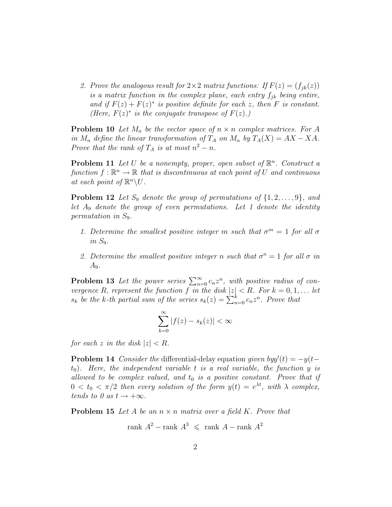2. Prove the analogous result for  $2 \times 2$  matrix functions: If  $F(z) = (f_{ik}(z))$ is a matrix function in the complex plane, each entry  $f_{ik}$  being entire, and if  $F(z) + F(z)^*$  is positive definite for each z, then F is constant. (Here,  $F(z)^*$  is the conjugate transpose of  $F(z)$ .)

**Problem 10** Let  $M_n$  be the vector space of  $n \times n$  complex matrices. For A in  $M_n$  define the linear transformation of  $T_A$  on  $M_n$  by  $T_A(X) = AX - XA$ . Prove that the rank of  $T_A$  is at most  $n^2 - n$ .

**Problem 11** Let U be a nonempty, proper, open subset of  $\mathbb{R}^n$ . Construct a function  $f: \mathbb{R}^n \to \mathbb{R}$  that is discontinuous at each point of U and continuous at each point of  $\mathbb{R}^n \backslash U$ .

**Problem 12** Let  $S_9$  denote the group of permutations of  $\{1, 2, \ldots, 9\}$ , and let  $A_9$  denote the group of even permutations. Let 1 denote the identity permutation in  $S_9$ .

- 1. Determine the smallest positive integer m such that  $\sigma^m = 1$  for all  $\sigma$ in  $S_9$ .
- 2. Determine the smallest positive integer n such that  $\sigma^n = 1$  for all  $\sigma$  in  $A_9$ .

**Problem 13** Let the power series  $\sum_{n=0}^{\infty} c_n z^n$ , with positive radius of convergence R, represent the function f in the disk  $|z| < R$ . For  $k = 0, 1, \ldots$  let  $s_k$  be the k-th partial sum of the series  $s_k(z) = \sum_{n=0}^k c_n z^n$ . Prove that

$$
\sum_{k=0}^{\infty} |f(z) - s_k(z)| < \infty
$$

for each z in the disk  $|z| < R$ .

**Problem 14** Consider the differential-delay equation given by  $y'(t) = -y(t-t)$  $t_0$ ). Here, the independent variable t is a real variable, the function y is allowed to be complex valued, and  $t_0$  is a positive constant. Prove that if  $0 < t_0 < \pi/2$  then every solution of the form  $y(t) = e^{\lambda t}$ , with  $\lambda$  complex, tends to 0 as  $t \to +\infty$ .

**Problem 15** Let A be an  $n \times n$  matrix over a field K. Prove that

$$
rank A^2 - rank A^3 \leqslant rank A - rank A^2
$$